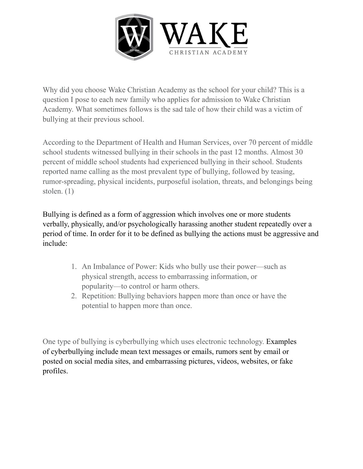

Why did you choose Wake Christian Academy as the school for your child? This is a question I pose to each new family who applies for admission to Wake Christian Academy. What sometimes follows is the sad tale of how their child was a victim of bullying at their previous school.

According to the Department of Health and Human Services, over 70 percent of middle school students witnessed bullying in their schools in the past 12 months. Almost 30 percent of middle school students had experienced bullying in their school. Students reported name calling as the most prevalent type of bullying, followed by teasing, rumor-spreading, physical incidents, purposeful isolation, threats, and belongings being stolen. (1)

Bullying is defined as a form of aggression which involves one or more students verbally, physically, and/or psychologically harassing another student repeatedly over a period of time. In order for it to be defined as bullying the actions must be aggressive and include:

- 1. An Imbalance of Power: Kids who bully use their power—such as physical strength, access to embarrassing information, or popularity—to control or harm others.
- 2. Repetition: Bullying behaviors happen more than once or have the potential to happen more than once.

One type of bullying is cyberbullying which uses electronic technology. Examples of cyberbullying include mean text messages or emails, rumors sent by email or posted on social media sites, and embarrassing pictures, videos, websites, or fake profiles.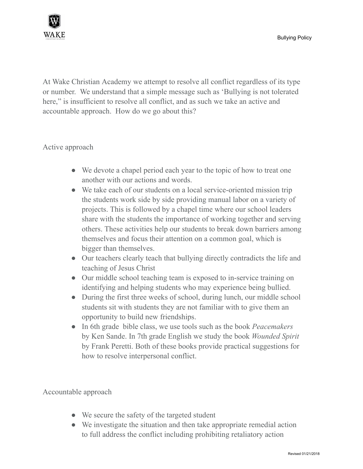

At Wake Christian Academy we attempt to resolve all conflict regardless of its type or number. We understand that a simple message such as 'Bullying is not tolerated here," is insufficient to resolve all conflict, and as such we take an active and accountable approach. How do we go about this?

## Active approach

- We devote a chapel period each year to the topic of how to treat one another with our actions and words.
- We take each of our students on a local service-oriented mission trip the students work side by side providing manual labor on a variety of projects. This is followed by a chapel time where our school leaders share with the students the importance of working together and serving others. These activities help our students to break down barriers among themselves and focus their attention on a common goal, which is bigger than themselves.
- Our teachers clearly teach that bullying directly contradicts the life and teaching of Jesus Christ
- Our middle school teaching team is exposed to in-service training on identifying and helping students who may experience being bullied.
- During the first three weeks of school, during lunch, our middle school students sit with students they are not familiar with to give them an opportunity to build new friendships.
- In 6th grade bible class, we use tools such as the book *Peacemakers* by Ken Sande. In 7th grade English we study the book *Wounded Spirit* by Frank Peretti. Both of these books provide practical suggestions for how to resolve interpersonal conflict.

Accountable approach

- We secure the safety of the targeted student
- We investigate the situation and then take appropriate remedial action to full address the conflict including prohibiting retaliatory action